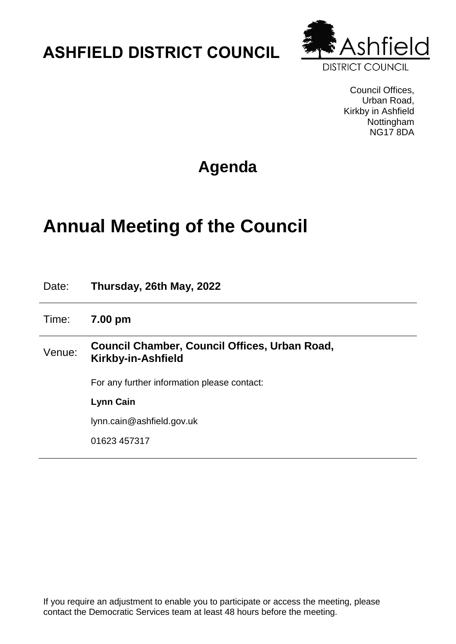## **ASHFIELD DISTRICT COUNCIL**



Council Offices, Urban Road, Kirkby in Ashfield Nottingham NG17 8DA

## **Agenda**

# **Annual Meeting of the Council**

| Date:  | Thursday, 26th May, 2022                                            |
|--------|---------------------------------------------------------------------|
| Time:  | 7.00 pm                                                             |
| Venue: | Council Chamber, Council Offices, Urban Road,<br>Kirkby-in-Ashfield |
|        | For any further information please contact:                         |
|        | <b>Lynn Cain</b>                                                    |
|        | lynn.cain@ashfield.gov.uk                                           |
|        | 01623 457317                                                        |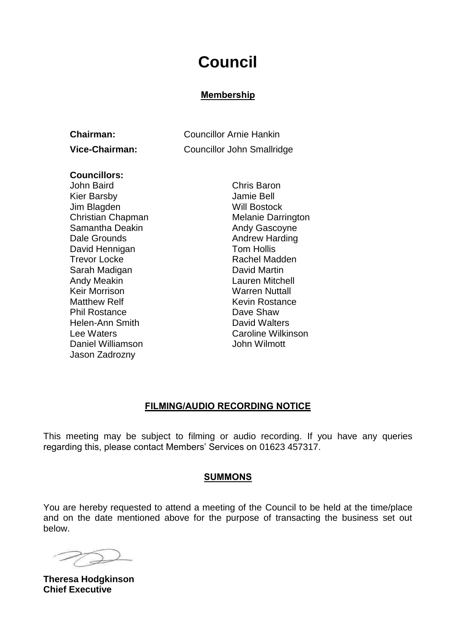### **Council**

#### **Membership**

| <b>Chairman:</b> | <b>Councillor Arnie Hankin</b>    |
|------------------|-----------------------------------|
| Vice-Chairman:   | <b>Councillor John Smallridge</b> |

#### **Councillors:**

John Baird Chris Baron Kier Barsby Jamie Bell Jim Blagden Will Bostock Christian Chapman Melanie Darrington Samantha Deakin Andy Gascoyne Dale Grounds **Andrew Harding** David Hennigan **Tom Hollis** Trevor Locke **Rachel Madden** Sarah Madigan **David Martin** Andy Meakin Lauren Mitchell Keir Morrison Warren Nuttall Matthew Relf **Kevin Rostance** Kevin Rostance Phil Rostance Dave Shaw Helen-Ann Smith David Walters Lee Waters Caroline Wilkinson Daniel Williamson **Daniel Williamson** John Wilmott Jason Zadrozny

#### **FILMING/AUDIO RECORDING NOTICE**

This meeting may be subject to filming or audio recording. If you have any queries regarding this, please contact Members' Services on 01623 457317.

#### **SUMMONS**

You are hereby requested to attend a meeting of the Council to be held at the time/place and on the date mentioned above for the purpose of transacting the business set out below.

**Theresa Hodgkinson Chief Executive**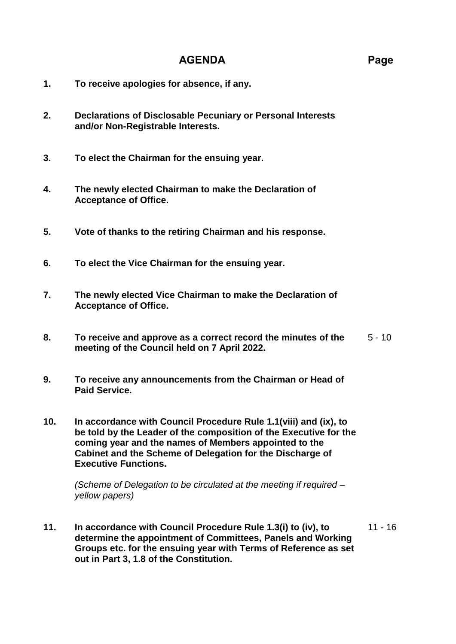### **AGENDA Page**

- **1. To receive apologies for absence, if any.**
- **2. Declarations of Disclosable Pecuniary or Personal Interests and/or Non-Registrable Interests.**
- **3. To elect the Chairman for the ensuing year.**
- **4. The newly elected Chairman to make the Declaration of Acceptance of Office.**
- **5. Vote of thanks to the retiring Chairman and his response.**
- **6. To elect the Vice Chairman for the ensuing year.**
- **7. The newly elected Vice Chairman to make the Declaration of Acceptance of Office.**
- **8. To receive and approve as a correct record the minutes of the meeting of the Council held on 7 April 2022.**  $5 - 10$
- **9. To receive any announcements from the Chairman or Head of Paid Service.**
- **10. In accordance with Council Procedure Rule 1.1(viii) and (ix), to be told by the Leader of the composition of the Executive for the coming year and the names of Members appointed to the Cabinet and the Scheme of Delegation for the Discharge of Executive Functions.**

*(Scheme of Delegation to be circulated at the meeting if required – yellow papers)*

**11. In accordance with Council Procedure Rule 1.3(i) to (iv), to determine the appointment of Committees, Panels and Working Groups etc. for the ensuing year with Terms of Reference as set out in Part 3, 1.8 of the Constitution.** 11 - 16